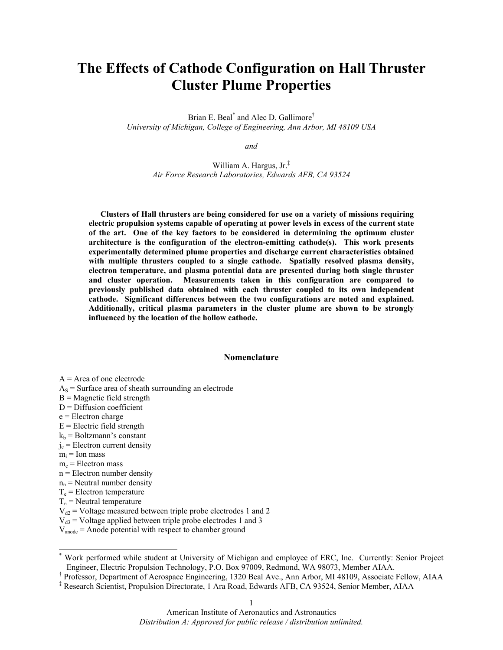# **The Effects of Cathode Configuration on Hall Thruster Cluster Plume Properties**

Brian E. Beal<sup>\*</sup> and Alec D. Gallimore<sup>[†](#page-0-1)</sup> *University of Michigan, College of Engineering, Ann Arbor, MI 48109 USA* 

*and* 

William A. Hargus, Jr.[‡](#page-0-2) *Air Force Research Laboratories, Edwards AFB, CA 93524* 

**Clusters of Hall thrusters are being considered for use on a variety of missions requiring electric propulsion systems capable of operating at power levels in excess of the current state of the art. One of the key factors to be considered in determining the optimum cluster architecture is the configuration of the electron-emitting cathode(s). This work presents experimentally determined plume properties and discharge current characteristics obtained with multiple thrusters coupled to a single cathode. Spatially resolved plasma density, electron temperature, and plasma potential data are presented during both single thruster and cluster operation. Measurements taken in this configuration are compared to previously published data obtained with each thruster coupled to its own independent cathode. Significant differences between the two configurations are noted and explained. Additionally, critical plasma parameters in the cluster plume are shown to be strongly influenced by the location of the hollow cathode.** 

#### **Nomenclature**

 $A = Area of one electrode$ 

- $A_s$  = Surface area of sheath surrounding an electrode
- $B = Magnetic$  field strength
- $D = Diffusion coefficient$
- $e =$  Electron charge
- $E =$  Electric field strength
- $k_b$  = Boltzmann's constant
- $j_e$  = Electron current density
- $m_i$  = Ion mass
- $m_e$  = Electron mass
- n = Electron number density
- $n_n$  = Neutral number density
- $T_e$  = Electron temperature
- $T_n$  = Neutral temperature
- $V_{d2}$  = Voltage measured between triple probe electrodes 1 and 2
- $V_{d3}$  = Voltage applied between triple probe electrodes 1 and 3
- $V_{\text{anode}}$  = Anode potential with respect to chamber ground

<span id="page-0-0"></span>Work performed while student at University of Michigan and employee of ERC, Inc. Currently: Senior Project Engineer, Electric Propulsion Technology, P.O. Box 97009, Redmond, WA 98073, Member AIAA. †

<span id="page-0-1"></span>Professor, Department of Aerospace Engineering, 1320 Beal Ave., Ann Arbor, MI 48109, Associate Fellow, AIAA

<span id="page-0-2"></span><sup>‡</sup> Research Scientist, Propulsion Directorate, 1 Ara Road, Edwards AFB, CA 93524, Senior Member, AIAA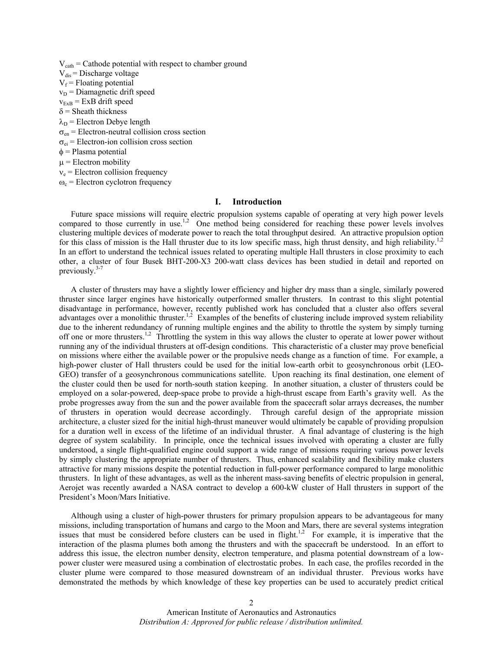$V_{\text{cath}}$  = Cathode potential with respect to chamber ground  $V_{\text{dis}}$  = Discharge voltage  $V_f$  = Floating potential  $v_D$  = Diamagnetic drift speed  $v_{ExB}$  = ExB drift speed  $\delta$  = Sheath thickness  $\lambda_D$  = Electron Debye length  $\sigma_{en}$  = Electron-neutral collision cross section  $\sigma_{ei}$  = Electron-ion collision cross section  $\phi$  = Plasma potential  $\mu$  = Electron mobility  $v_e$  = Electron collision frequency

 $\omega_c$  = Electron cyclotron frequency

# **I. Introduction**

Future space missions will require electric propulsion systems capable of operating at very high power levels compared to those currently in use.<sup>1,2</sup> One method being considered for reaching these power levels involves clustering multiple devices of moderate power to reach the total throughput desired. An attractive propulsion option for this class of mission is the Hall thruster due to its low specific mass, high thrust density, and high reliability.<sup>1,2</sup> In an effort to understand the technical issues related to operating multiple Hall thrusters in close proximity to each other, a cluster of four Busek BHT-200-X3 200-watt class devices has been studied in detail and reported on previously. 3-7

A cluster of thrusters may have a slightly lower efficiency and higher dry mass than a single, similarly powered thruster since larger engines have historically outperformed smaller thrusters. In contrast to this slight potential disadvantage in performance, however, recently published work has concluded that a cluster also offers several advantages over a monolithic thruster.<sup>1,2</sup> Examples of the benefits of clustering include improved system reliability due to the inherent redundancy of running multiple engines and the ability to throttle the system by simply turning off one or more thrusters.<sup>1,2</sup> Throttling the system in this way allows the cluster to operate at lower power without running any of the individual thrusters at off-design conditions. This characteristic of a cluster may prove beneficial on missions where either the available power or the propulsive needs change as a function of time. For example, a high-power cluster of Hall thrusters could be used for the initial low-earth orbit to geosynchronous orbit (LEO-GEO) transfer of a geosynchronous communications satellite. Upon reaching its final destination, one element of the cluster could then be used for north-south station keeping. In another situation, a cluster of thrusters could be employed on a solar-powered, deep-space probe to provide a high-thrust escape from Earth's gravity well. As the probe progresses away from the sun and the power available from the spacecraft solar arrays decreases, the number of thrusters in operation would decrease accordingly. Through careful design of the appropriate mission architecture, a cluster sized for the initial high-thrust maneuver would ultimately be capable of providing propulsion for a duration well in excess of the lifetime of an individual thruster. A final advantage of clustering is the high degree of system scalability. In principle, once the technical issues involved with operating a cluster are fully understood, a single flight-qualified engine could support a wide range of missions requiring various power levels by simply clustering the appropriate number of thrusters. Thus, enhanced scalability and flexibility make clusters attractive for many missions despite the potential reduction in full-power performance compared to large monolithic thrusters. In light of these advantages, as well as the inherent mass-saving benefits of electric propulsion in general, Aerojet was recently awarded a NASA contract to develop a 600-kW cluster of Hall thrusters in support of the President's Moon/Mars Initiative.

Although using a cluster of high-power thrusters for primary propulsion appears to be advantageous for many missions, including transportation of humans and cargo to the Moon and Mars, there are several systems integration issues that must be considered before clusters can be used in flight.<sup>1,2</sup> For example, it is imperative that the interaction of the plasma plumes both among the thrusters and with the spacecraft be understood. In an effort to address this issue, the electron number density, electron temperature, and plasma potential downstream of a lowpower cluster were measured using a combination of electrostatic probes. In each case, the profiles recorded in the cluster plume were compared to those measured downstream of an individual thruster. Previous works have demonstrated the methods by which knowledge of these key properties can be used to accurately predict critical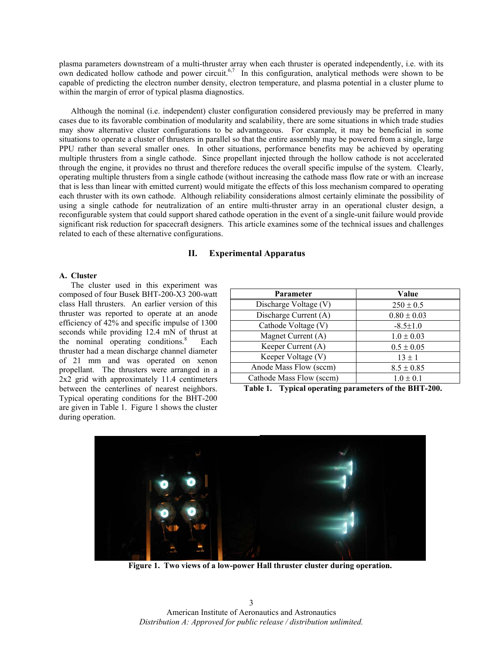plasma parameters downstream of a multi-thruster array when each thruster is operated independently, i.e. with its own dedicated hollow cathode and power circuit.<sup>6,7</sup> In this configuration, analytical methods were shown to be capable of predicting the electron number density, electron temperature, and plasma potential in a cluster plume to within the margin of error of typical plasma diagnostics.

Although the nominal (i.e. independent) cluster configuration considered previously may be preferred in many cases due to its favorable combination of modularity and scalability, there are some situations in which trade studies may show alternative cluster configurations to be advantageous. For example, it may be beneficial in some situations to operate a cluster of thrusters in parallel so that the entire assembly may be powered from a single, large PPU rather than several smaller ones. In other situations, performance benefits may be achieved by operating multiple thrusters from a single cathode. Since propellant injected through the hollow cathode is not accelerated through the engine, it provides no thrust and therefore reduces the overall specific impulse of the system. Clearly, operating multiple thrusters from a single cathode (without increasing the cathode mass flow rate or with an increase that is less than linear with emitted current) would mitigate the effects of this loss mechanism compared to operating each thruster with its own cathode. Although reliability considerations almost certainly eliminate the possibility of using a single cathode for neutralization of an entire multi-thruster array in an operational cluster design, a reconfigurable system that could support shared cathode operation in the event of a single-unit failure would provide significant risk reduction for spacecraft designers. This article examines some of the technical issues and challenges related to each of these alternative configurations.

# **II. Experimental Apparatus**

# **A. Cluster**

The cluster used in this experiment was composed of four Busek BHT-200-X3 200-watt class Hall thrusters. An earlier version of this thruster was reported to operate at an anode efficiency of 42% and specific impulse of 1300 seconds while providing 12.4 mN of thrust at the nominal operating conditions.<sup>8</sup> Each thruster had a mean discharge channel diameter of 21 mm and was operated on xenon propellant. The thrusters were arranged in a 2x2 grid with approximately 11.4 centimeters between the centerlines of nearest neighbors. Typical operating conditions for the BHT-200 are given in Table 1. Figure 1 shows the cluster during operation.

| Parameter                | Value           |
|--------------------------|-----------------|
| Discharge Voltage (V)    | $250 \pm 0.5$   |
| Discharge Current (A)    | $0.80 \pm 0.03$ |
| Cathode Voltage (V)      | $-8.5 \pm 1.0$  |
| Magnet Current (A)       | $1.0 \pm 0.03$  |
| Keeper Current (A)       | $0.5 \pm 0.05$  |
| Keeper Voltage (V)       | $13 \pm 1$      |
| Anode Mass Flow (sccm)   | $8.5 \pm 0.85$  |
| Cathode Mass Flow (sccm) | $1.0 \pm 0.1$   |
|                          |                 |

**Table 1. Typical operating parameters of the BHT-200.** 



**Figure 1. Two views of a low-power Hall thruster cluster during operation.**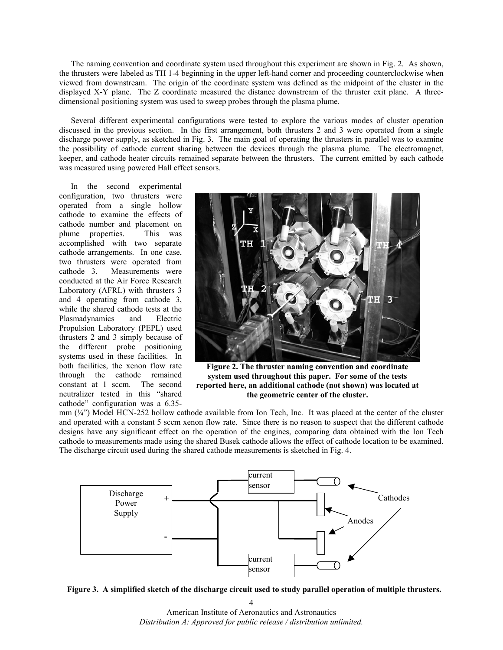The naming convention and coordinate system used throughout this experiment are shown in Fig. 2. As shown, the thrusters were labeled as TH 1-4 beginning in the upper left-hand corner and proceeding counterclockwise when viewed from downstream. The origin of the coordinate system was defined as the midpoint of the cluster in the displayed X-Y plane. The Z coordinate measured the distance downstream of the thruster exit plane. A threedimensional positioning system was used to sweep probes through the plasma plume.

Several different experimental configurations were tested to explore the various modes of cluster operation discussed in the previous section. In the first arrangement, both thrusters 2 and 3 were operated from a single discharge power supply, as sketched in Fig. 3. The main goal of operating the thrusters in parallel was to examine the possibility of cathode current sharing between the devices through the plasma plume. The electromagnet, keeper, and cathode heater circuits remained separate between the thrusters. The current emitted by each cathode was measured using powered Hall effect sensors.

In the second experimental configuration, two thrusters were operated from a single hollow cathode to examine the effects of cathode number and placement on plume properties. This was accomplished with two separate cathode arrangements. In one case, two thrusters were operated from cathode 3. Measurements were conducted at the Air Force Research Laboratory (AFRL) with thrusters 3 and 4 operating from cathode 3, while the shared cathode tests at the Plasmadynamics and Electric Propulsion Laboratory (PEPL) used thrusters 2 and 3 simply because of the different probe positioning systems used in these facilities. In both facilities, the xenon flow rate through the cathode remained constant at 1 sccm. The second neutralizer tested in this "shared cathode" configuration was a 6.35-



**Figure 2. The thruster naming convention and coordinate system used throughout this paper. For some of the tests reported here, an additional cathode (not shown) was located at the geometric center of the cluster.** 

mm (¼") Model HCN-252 hollow cathode available from Ion Tech, Inc. It was placed at the center of the cluster and operated with a constant 5 sccm xenon flow rate. Since there is no reason to suspect that the different cathode designs have any significant effect on the operation of the engines, comparing data obtained with the Ion Tech cathode to measurements made using the shared Busek cathode allows the effect of cathode location to be examined. The discharge circuit used during the shared cathode measurements is sketched in Fig. 4.



**Figure 3. A simplified sketch of the discharge circuit used to study parallel operation of multiple thrusters.**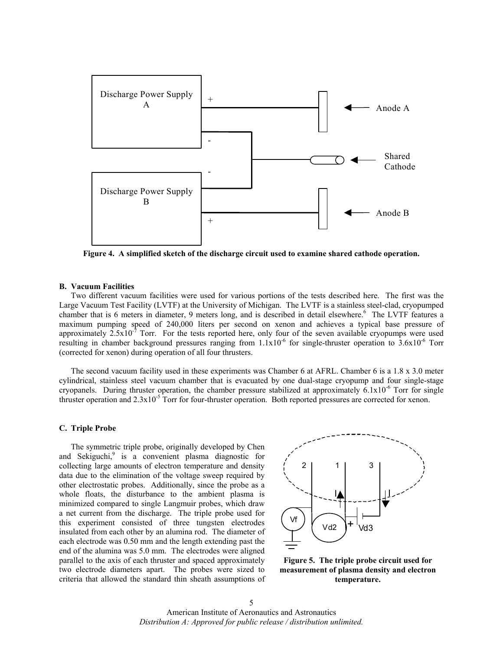

**Figure 4. A simplified sketch of the discharge circuit used to examine shared cathode operation.** 

## **B. Vacuum Facilities**

Two different vacuum facilities were used for various portions of the tests described here. The first was the Large Vacuum Test Facility (LVTF) at the University of Michigan. The LVTF is a stainless steel-clad, cryopumped chamber that is 6 meters in diameter, 9 meters long, and is described in detail elsewhere.<sup>6</sup> The LVTF features a maximum pumping speed of 240,000 liters per second on xenon and achieves a typical base pressure of approximately  $2.5x10^{-7}$  Torr. For the tests reported here, only four of the seven available cryopumps were used resulting in chamber background pressures ranging from  $1.1x10^{-6}$  for single-thruster operation to  $3.6x10^{-6}$  Torr (corrected for xenon) during operation of all four thrusters.

The second vacuum facility used in these experiments was Chamber 6 at AFRL. Chamber 6 is a 1.8 x 3.0 meter cylindrical, stainless steel vacuum chamber that is evacuated by one dual-stage cryopump and four single-stage cryopanels. During thruster operation, the chamber pressure stabilized at approximately  $6.1 \times 10^{-6}$  Torr for single thruster operation and 2.3x10-5 Torr for four-thruster operation. Both reported pressures are corrected for xenon.

# **C. Triple Probe**

The symmetric triple probe, originally developed by Chen and Sekiguchi, 9 is a convenient plasma diagnostic for collecting large amounts of electron temperature and density data due to the elimination of the voltage sweep required by other electrostatic probes. Additionally, since the probe as a whole floats, the disturbance to the ambient plasma is minimized compared to single Langmuir probes, which draw a net current from the discharge. The triple probe used for this experiment consisted of three tungsten electrodes insulated from each other by an alumina rod. The diameter of each electrode was 0.50 mm and the length extending past the end of the alumina was 5.0 mm. The electrodes were aligned parallel to the axis of each thruster and spaced approximately two electrode diameters apart. The probes were sized to criteria that allowed the standard thin sheath assumptions of



**Figure 5. The triple probe circuit used for measurement of plasma density and electron temperature.**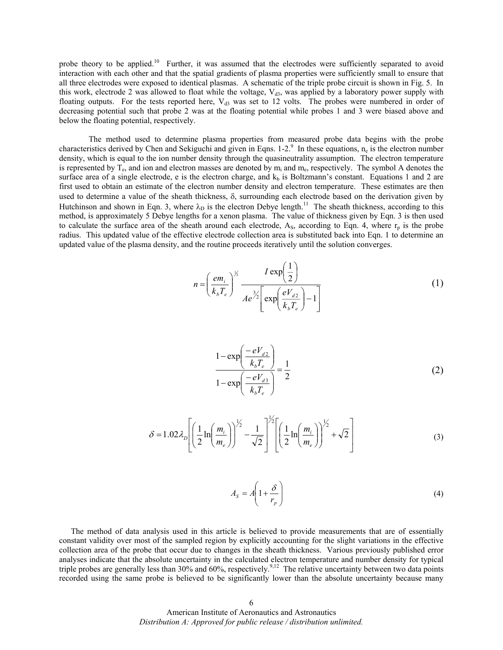probe theory to be applied.<sup>10</sup> Further, it was assumed that the electrodes were sufficiently separated to avoid interaction with each other and that the spatial gradients of plasma properties were sufficiently small to ensure that all three electrodes were exposed to identical plasmas. A schematic of the triple probe circuit is shown in Fig. 5. In this work, electrode 2 was allowed to float while the voltage,  $V_{d3}$ , was applied by a laboratory power supply with floating outputs. For the tests reported here,  $V_{d3}$  was set to 12 volts. The probes were numbered in order of decreasing potential such that probe 2 was at the floating potential while probes 1 and 3 were biased above and below the floating potential, respectively.

The method used to determine plasma properties from measured probe data begins with the probe characteristics derived by Chen and Sekiguchi and given in Eqns. 1-2.<sup>9</sup> In these equations,  $n_e$  is the electron number density, which is equal to the ion number density through the quasineutrality assumption. The electron temperature is represented by  $T_e$ , and ion and electron masses are denoted by  $m_i$  and  $m_e$ , respectively. The symbol A denotes the surface area of a single electrode, e is the electron charge, and  $k<sub>b</sub>$  is Boltzmann's constant. Equations 1 and 2 are first used to obtain an estimate of the electron number density and electron temperature. These estimates are then used to determine a value of the sheath thickness, δ, surrounding each electrode based on the derivation given by Hutchinson and shown in Eqn. 3, where  $\lambda_D$  is the electron Debye length.<sup>11</sup> The sheath thickness, according to this method, is approximately 5 Debye lengths for a xenon plasma. The value of thickness given by Eqn. 3 is then used to calculate the surface area of the sheath around each electrode,  $A_s$ , according to Eqn. 4, where  $r_p$  is the probe radius. This updated value of the effective electrode collection area is substituted back into Eqn. 1 to determine an updated value of the plasma density, and the routine proceeds iteratively until the solution converges.

$$
n = \left(\frac{em_i}{k_b T_e}\right)^{\frac{1}{2}} \frac{I \exp\left(\frac{1}{2}\right)}{A e^{\frac{3}{2}} \left[\exp\left(\frac{eV_{d2}}{k_b T_e}\right) - 1\right]}
$$
(1)

$$
\frac{1 - \exp\left(\frac{-eV_{d2}}{k_b T_e}\right)}{1 - \exp\left(\frac{-eV_{d3}}{k_b T_e}\right)} = \frac{1}{2}
$$
\n(2)

$$
\delta = 1.02 \lambda_D \left[ \left( \frac{1}{2} \ln \left( \frac{m_i}{m_e} \right) \right)^{1/2} - \frac{1}{\sqrt{2}} \right]^{1/2} \left[ \left( \frac{1}{2} \ln \left( \frac{m_i}{m_e} \right) \right)^{1/2} + \sqrt{2} \right]
$$
(3)

$$
A_{S} = A \left( 1 + \frac{\delta}{r_{p}} \right) \tag{4}
$$

The method of data analysis used in this article is believed to provide measurements that are of essentially constant validity over most of the sampled region by explicitly accounting for the slight variations in the effective collection area of the probe that occur due to changes in the sheath thickness. Various previously published error analyses indicate that the absolute uncertainty in the calculated electron temperature and number density for typical triple probes are generally less than 30% and 60%, respectively.<sup>9,12</sup> The relative uncertainty between two data points recorded using the same probe is believed to be significantly lower than the absolute uncertainty because many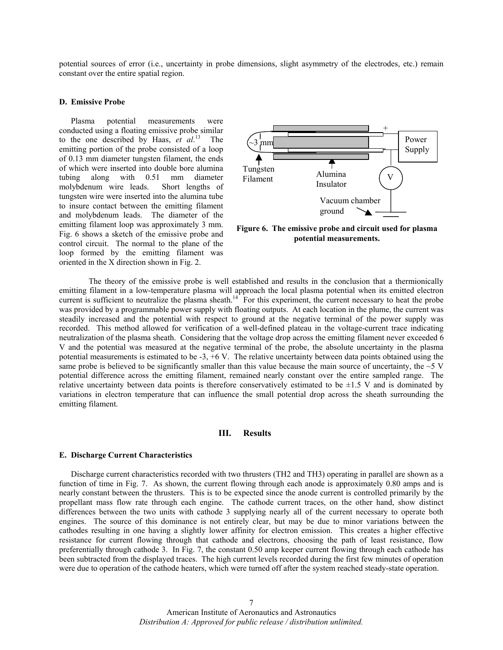potential sources of error (i.e., uncertainty in probe dimensions, slight asymmetry of the electrodes, etc.) remain constant over the entire spatial region.

#### **D. Emissive Probe**

Plasma potential measurements were conducted using a floating emissive probe similar to the one described by Haas, *et al*. The emitting portion of the probe consisted of a loop of 0.13 mm diameter tungsten filament, the ends of which were inserted into double bore alumina tubing along with 0.51 mm diameter molybdenum wire leads. Short lengths of tungsten wire were inserted into the alumina tube to insure contact between the emitting filament and molybdenum leads. The diameter of the emitting filament loop was approximately 3 mm. Fig. 6 shows a sketch of the emissive probe and control circuit. The normal to the plane of the loop formed by the emitting filament was oriented in the X direction shown in Fig. 2.



**Figure 6. The emissive probe and circuit used for plasma potential measurements.** 

The theory of the emissive probe is well established and results in the conclusion that a thermionically emitting filament in a low-temperature plasma will approach the local plasma potential when its emitted electron current is sufficient to neutralize the plasma sheath.<sup>14</sup> For this experiment, the current necessary to heat the probe was provided by a programmable power supply with floating outputs. At each location in the plume, the current was steadily increased and the potential with respect to ground at the negative terminal of the power supply was recorded. This method allowed for verification of a well-defined plateau in the voltage-current trace indicating neutralization of the plasma sheath. Considering that the voltage drop across the emitting filament never exceeded 6 V and the potential was measured at the negative terminal of the probe, the absolute uncertainty in the plasma potential measurements is estimated to be -3, +6 V. The relative uncertainty between data points obtained using the same probe is believed to be significantly smaller than this value because the main source of uncertainty, the  $\sim$ 5 V potential difference across the emitting filament, remained nearly constant over the entire sampled range. The relative uncertainty between data points is therefore conservatively estimated to be  $\pm 1.5$  V and is dominated by variations in electron temperature that can influence the small potential drop across the sheath surrounding the emitting filament.

# **III. Results**

## **E. Discharge Current Characteristics**

Discharge current characteristics recorded with two thrusters (TH2 and TH3) operating in parallel are shown as a function of time in Fig. 7. As shown, the current flowing through each anode is approximately 0.80 amps and is nearly constant between the thrusters. This is to be expected since the anode current is controlled primarily by the propellant mass flow rate through each engine. The cathode current traces, on the other hand, show distinct differences between the two units with cathode 3 supplying nearly all of the current necessary to operate both engines. The source of this dominance is not entirely clear, but may be due to minor variations between the cathodes resulting in one having a slightly lower affinity for electron emission. This creates a higher effective resistance for current flowing through that cathode and electrons, choosing the path of least resistance, flow preferentially through cathode 3. In Fig. 7, the constant 0.50 amp keeper current flowing through each cathode has been subtracted from the displayed traces. The high current levels recorded during the first few minutes of operation were due to operation of the cathode heaters, which were turned off after the system reached steady-state operation.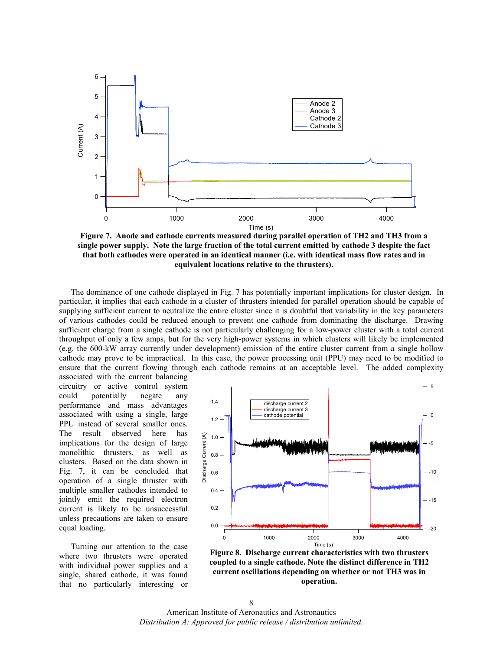

**Figure 7. Anode and cathode currents measured during parallel operation of TH2 and TH3 from a single power supply. Note the large fraction of the total current emitted by cathode 3 despite the fact that both cathodes were operated in an identical manner (i.e. with identical mass flow rates and in equivalent locations relative to the thrusters).** 

The dominance of one cathode displayed in Fig. 7 has potentially important implications for cluster design. In particular, it implies that each cathode in a cluster of thrusters intended for parallel operation should be capable of supplying sufficient current to neutralize the entire cluster since it is doubtful that variability in the key parameters of various cathodes could be reduced enough to prevent one cathode from dominating the discharge. Drawing sufficient charge from a single cathode is not particularly challenging for a low-power cluster with a total current throughput of only a few amps, but for the very high-power systems in which clusters will likely be implemented (e.g. the 600-kW array currently under development) emission of the entire cluster current from a single hollow cathode may prove to be impractical. In this case, the power processing unit (PPU) may need to be modified to ensure that the current flowing through each cathode remains at an acceptable level. The added complexity

associated with the current balancing circuitry or active control system could potentially negate any performance and mass advantages associated with using a single, large PPU instead of several smaller ones. The result observed here has implications for the design of large monolithic thrusters, as well as clusters. Based on the data shown in Fig. 7, it can be concluded that operation of a single thruster with multiple smaller cathodes intended to jointly emit the required electron current is likely to be unsuccessful unless precautions are taken to ensure equal loading.

Turning our attention to the case where two thrusters were operated with individual power supplies and a single, shared cathode, it was found that no particularly interesting or



**Figure 8. Discharge current characteristics with two thrusters coupled to a single cathode. Note the distinct difference in TH2 current oscillations depending on whether or not TH3 was in operation.**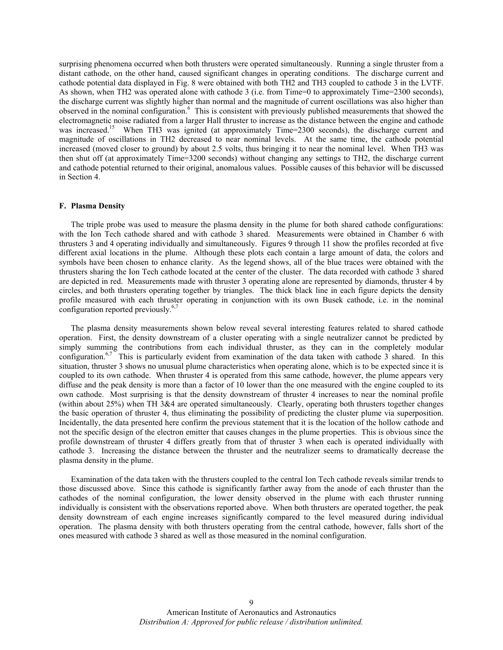surprising phenomena occurred when both thrusters were operated simultaneously. Running a single thruster from a distant cathode, on the other hand, caused significant changes in operating conditions. The discharge current and cathode potential data displayed in Fig. 8 were obtained with both TH2 and TH3 coupled to cathode 3 in the LVTF. As shown, when TH2 was operated alone with cathode 3 (i.e. from Time=0 to approximately Time=2300 seconds), the discharge current was slightly higher than normal and the magnitude of current oscillations was also higher than observed in the nominal configuration.<sup>6</sup> This is consistent with previously published measurements that showed the electromagnetic noise radiated from a larger Hall thruster to increase as the distance between the engine and cathode was increased.<sup>15</sup> When TH3 was ignited (at approximately Time=2300 seconds), the discharge current and magnitude of oscillations in TH2 decreased to near nominal levels. At the same time, the cathode potential increased (moved closer to ground) by about 2.5 volts, thus bringing it to near the nominal level. When TH3 was then shut off (at approximately Time=3200 seconds) without changing any settings to TH2, the discharge current and cathode potential returned to their original, anomalous values. Possible causes of this behavior will be discussed in Section 4.

#### **F. Plasma Density**

The triple probe was used to measure the plasma density in the plume for both shared cathode configurations: with the Ion Tech cathode shared and with cathode 3 shared. Measurements were obtained in Chamber 6 with thrusters 3 and 4 operating individually and simultaneously. Figures 9 through 11 show the profiles recorded at five different axial locations in the plume. Although these plots each contain a large amount of data, the colors and symbols have been chosen to enhance clarity. As the legend shows, all of the blue traces were obtained with the thrusters sharing the Ion Tech cathode located at the center of the cluster. The data recorded with cathode 3 shared are depicted in red. Measurements made with thruster 3 operating alone are represented by diamonds, thruster 4 by circles, and both thrusters operating together by triangles. The thick black line in each figure depicts the density profile measured with each thruster operating in conjunction with its own Busek cathode, i.e. in the nominal configuration reported previously. $6,7$ 

The plasma density measurements shown below reveal several interesting features related to shared cathode operation. First, the density downstream of a cluster operating with a single neutralizer cannot be predicted by simply summing the contributions from each individual thruster, as they can in the completely modular configuration.<sup>6,7</sup> This is particularly evident from examination of the data taken with cathode 3 shared. In this situation, thruster 3 shows no unusual plume characteristics when operating alone, which is to be expected since it is coupled to its own cathode. When thruster 4 is operated from this same cathode, however, the plume appears very diffuse and the peak density is more than a factor of 10 lower than the one measured with the engine coupled to its own cathode. Most surprising is that the density downstream of thruster 4 increases to near the nominal profile (within about 25%) when TH 3&4 are operated simultaneously. Clearly, operating both thrusters together changes the basic operation of thruster 4, thus eliminating the possibility of predicting the cluster plume via superposition. Incidentally, the data presented here confirm the previous statement that it is the location of the hollow cathode and not the specific design of the electron emitter that causes changes in the plume properties. This is obvious since the profile downstream of thruster 4 differs greatly from that of thruster 3 when each is operated individually with cathode 3. Increasing the distance between the thruster and the neutralizer seems to dramatically decrease the plasma density in the plume.

Examination of the data taken with the thrusters coupled to the central Ion Tech cathode reveals similar trends to those discussed above. Since this cathode is significantly farther away from the anode of each thruster than the cathodes of the nominal configuration, the lower density observed in the plume with each thruster running individually is consistent with the observations reported above. When both thrusters are operated together, the peak density downstream of each engine increases significantly compared to the level measured during individual operation. The plasma density with both thrusters operating from the central cathode, however, falls short of the ones measured with cathode 3 shared as well as those measured in the nominal configuration.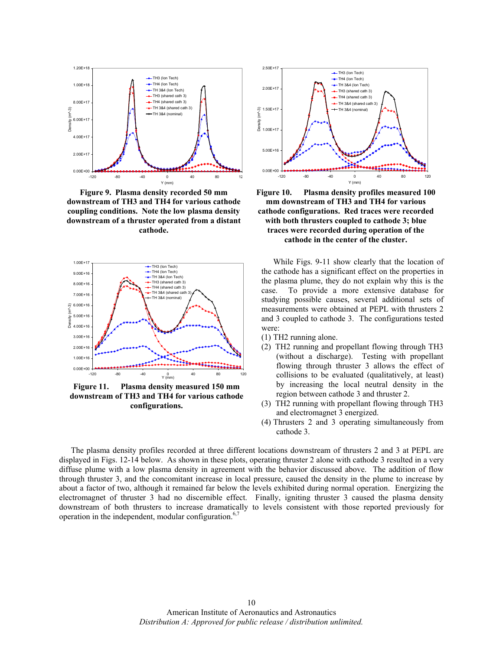

**Figure 9. Plasma density recorded 50 mm downstream of TH3 and TH4 for various cathode coupling conditions. Note the low plasma density downstream of a thruster operated from a distant cathode.** 



**Figure 11. Plasma density measured 150 mm downstream of TH3 and TH4 for various cathode configurations.**



**Figure 10. Plasma density profiles measured 100 mm downstream of TH3 and TH4 for various cathode configurations. Red traces were recorded with both thrusters coupled to cathode 3; blue traces were recorded during operation of the cathode in the center of the cluster.** 

While Figs. 9-11 show clearly that the location of the cathode has a significant effect on the properties in the plasma plume, they do not explain why this is the case. To provide a more extensive database for studying possible causes, several additional sets of measurements were obtained at PEPL with thrusters 2 and 3 coupled to cathode 3. The configurations tested were:

- (1) TH2 running alone.
- (2) TH2 running and propellant flowing through TH3 (without a discharge). Testing with propellant flowing through thruster 3 allows the effect of collisions to be evaluated (qualitatively, at least) by increasing the local neutral density in the region between cathode 3 and thruster 2.
- (3) TH2 running with propellant flowing through TH3 and electromagnet 3 energized.
- (4) Thrusters 2 and 3 operating simultaneously from cathode 3.

The plasma density profiles recorded at three different locations downstream of thrusters 2 and 3 at PEPL are displayed in Figs. 12-14 below. As shown in these plots, operating thruster 2 alone with cathode 3 resulted in a very diffuse plume with a low plasma density in agreement with the behavior discussed above. The addition of flow through thruster 3, and the concomitant increase in local pressure, caused the density in the plume to increase by about a factor of two, although it remained far below the levels exhibited during normal operation. Energizing the electromagnet of thruster 3 had no discernible effect. Finally, igniting thruster 3 caused the plasma density downstream of both thrusters to increase dramatically to levels consistent with those reported previously for operation in the independent, modular configuration. $6,7$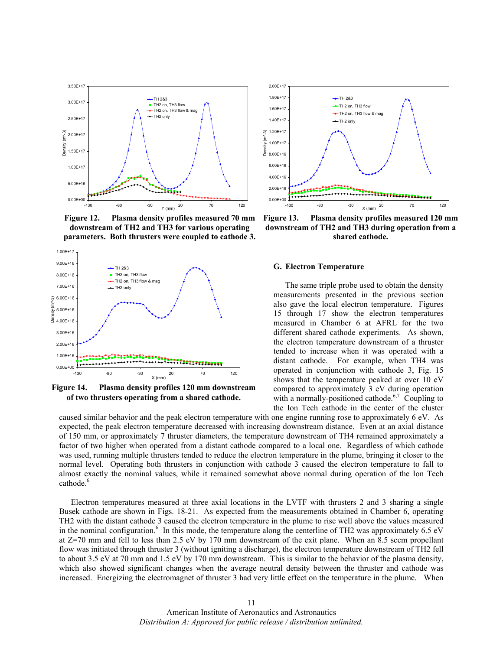

**Figure 12. Plasma density profiles measured 70 mm downstream of TH2 and TH3 for various operating parameters. Both thrusters were coupled to cathode 3.** 



**Figure 14. Plasma density profiles 120 mm downstream of two thrusters operating from a shared cathode.** 



**Figure 13. Plasma density profiles measured 120 mm downstream of TH2 and TH3 during operation from a shared cathode.**

#### **G. Electron Temperature**

The same triple probe used to obtain the density measurements presented in the previous section also gave the local electron temperature. Figures 15 through 17 show the electron temperatures measured in Chamber 6 at AFRL for the two different shared cathode experiments. As shown, the electron temperature downstream of a thruster tended to increase when it was operated with a distant cathode. For example, when TH4 was operated in conjunction with cathode 3, Fig. 15 shows that the temperature peaked at over 10 eV compared to approximately 3 eV during operation with a normally-positioned cathode.<sup>6,7</sup> Coupling to the Ion Tech cathode in the center of the cluster

caused similar behavior and the peak electron temperature with one engine running rose to approximately 6 eV. As expected, the peak electron temperature decreased with increasing downstream distance. Even at an axial distance of 150 mm, or approximately 7 thruster diameters, the temperature downstream of TH4 remained approximately a factor of two higher when operated from a distant cathode compared to a local one. Regardless of which cathode was used, running multiple thrusters tended to reduce the electron temperature in the plume, bringing it closer to the normal level. Operating both thrusters in conjunction with cathode 3 caused the electron temperature to fall to almost exactly the nominal values, while it remained somewhat above normal during operation of the Ion Tech cathode.<sup>6</sup>

Electron temperatures measured at three axial locations in the LVTF with thrusters 2 and 3 sharing a single Busek cathode are shown in Figs. 18-21. As expected from the measurements obtained in Chamber 6, operating TH2 with the distant cathode 3 caused the electron temperature in the plume to rise well above the values measured in the nominal configuration.<sup>6</sup> In this mode, the temperature along the centerline of TH2 was approximately 6.5 eV at Z=70 mm and fell to less than 2.5 eV by 170 mm downstream of the exit plane. When an 8.5 sccm propellant flow was initiated through thruster 3 (without igniting a discharge), the electron temperature downstream of TH2 fell to about 3.5 eV at 70 mm and 1.5 eV by 170 mm downstream. This is similar to the behavior of the plasma density, which also showed significant changes when the average neutral density between the thruster and cathode was increased. Energizing the electromagnet of thruster 3 had very little effect on the temperature in the plume. When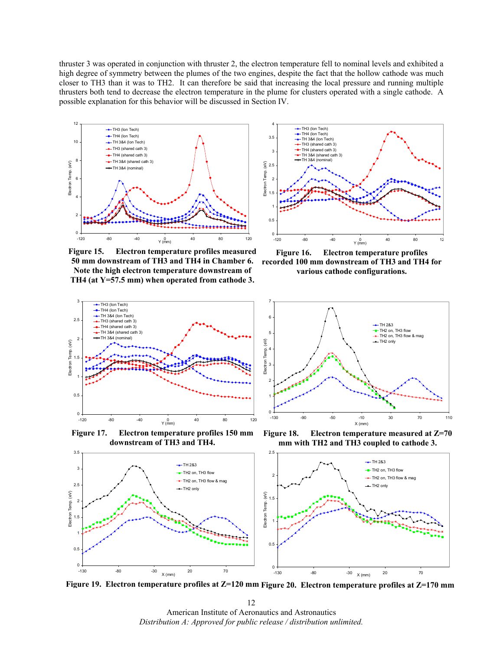thruster 3 was operated in conjunction with thruster 2, the electron temperature fell to nominal levels and exhibited a high degree of symmetry between the plumes of the two engines, despite the fact that the hollow cathode was much closer to TH3 than it was to TH2. It can therefore be said that increasing the local pressure and running multiple thrusters both tend to decrease the electron temperature in the plume for clusters operated with a single cathode. A possible explanation for this behavior will be discussed in Section IV.



**Figure 15. Electron temperature profiles measured 50 mm downstream of TH3 and TH4 in Chamber 6. Note the high electron temperature downstream of TH4 (at Y=57.5 mm) when operated from cathode 3.** 



**Figure 16. Electron temperature profiles recorded 100 mm downstream of TH3 and TH4 for various cathode configurations.** 



**Figure 17. Electron temperature profiles 150 mm downstream of TH3 and TH4.** 



**Figure 18. Electron temperature measured at Z=70 mm with TH2 and TH3 coupled to cathode 3.** 



**Figure 19. Electron temperature profiles at Z=120 mm Figure 20. Electron temperature profiles at Z=170 mm**

American Institute of Aeronautics and Astronautics *Distribution A: Approved for public release / distribution unlimited.* 12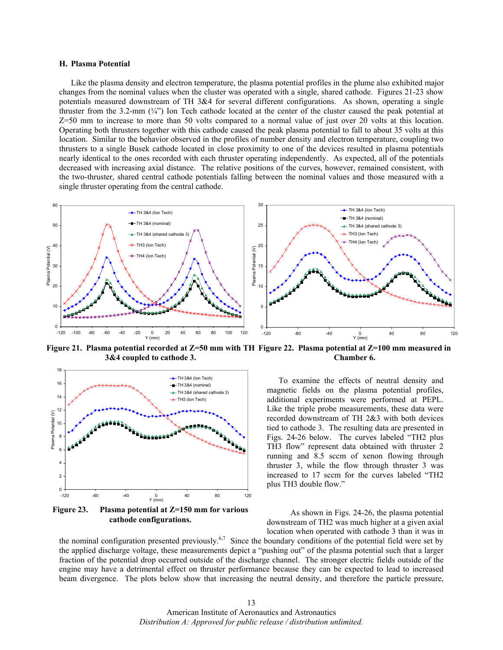#### **H. Plasma Potential**

Like the plasma density and electron temperature, the plasma potential profiles in the plume also exhibited major changes from the nominal values when the cluster was operated with a single, shared cathode. Figures 21-23 show potentials measured downstream of TH 3&4 for several different configurations. As shown, operating a single thruster from the 3.2-mm  $(\frac{1}{4})$  Ion Tech cathode located at the center of the cluster caused the peak potential at Z=50 mm to increase to more than 50 volts compared to a normal value of just over 20 volts at this location. Operating both thrusters together with this cathode caused the peak plasma potential to fall to about 35 volts at this location. Similar to the behavior observed in the profiles of number density and electron temperature, coupling two thrusters to a single Busek cathode located in close proximity to one of the devices resulted in plasma potentials nearly identical to the ones recorded with each thruster operating independently. As expected, all of the potentials decreased with increasing axial distance. The relative positions of the curves, however, remained consistent, with the two-thruster, shared central cathode potentials falling between the nominal values and those measured with a single thruster operating from the central cathode.



Figure 21. Plasma potential recorded at Z=50 mm with TH Figure 22. Plasma potential at Z=100 mm measured in **3&4 coupled to cathode 3. Chamber 6.**



**Figure 23. Plasma potential at Z=150 mm for various cathode configurations.** 

To examine the effects of neutral density and magnetic fields on the plasma potential profiles, additional experiments were performed at PEPL. Like the triple probe measurements, these data were recorded downstream of TH 2&3 with both devices tied to cathode 3. The resulting data are presented in Figs. 24-26 below. The curves labeled "TH2 plus TH3 flow" represent data obtained with thruster 2 running and 8.5 sccm of xenon flowing through thruster 3, while the flow through thruster 3 was increased to 17 sccm for the curves labeled "TH2 plus TH3 double flow."

As shown in Figs. 24-26, the plasma potential downstream of TH2 was much higher at a given axial location when operated with cathode 3 than it was in

the nominal configuration presented previously.<sup>6,7</sup> Since the boundary conditions of the potential field were set by the applied discharge voltage, these measurements depict a "pushing out" of the plasma potential such that a larger fraction of the potential drop occurred outside of the discharge channel. The stronger electric fields outside of the engine may have a detrimental effect on thruster performance because they can be expected to lead to increased beam divergence. The plots below show that increasing the neutral density, and therefore the particle pressure,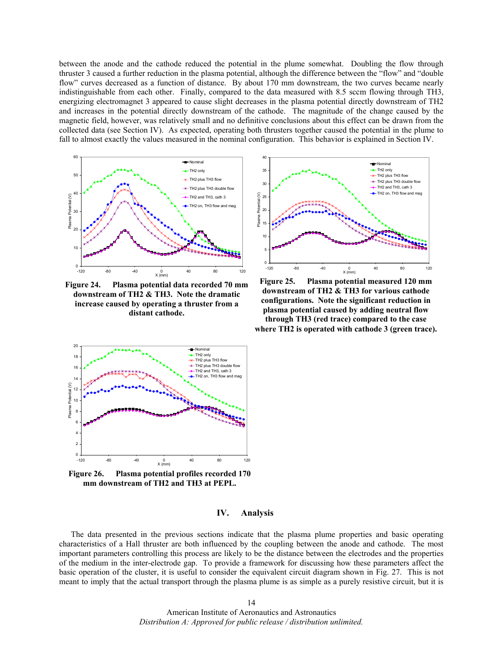between the anode and the cathode reduced the potential in the plume somewhat. Doubling the flow through thruster 3 caused a further reduction in the plasma potential, although the difference between the "flow" and "double flow" curves decreased as a function of distance. By about 170 mm downstream, the two curves became nearly indistinguishable from each other. Finally, compared to the data measured with 8.5 sccm flowing through TH3, energizing electromagnet 3 appeared to cause slight decreases in the plasma potential directly downstream of TH2 and increases in the potential directly downstream of the cathode. The magnitude of the change caused by the magnetic field, however, was relatively small and no definitive conclusions about this effect can be drawn from the collected data (see Section IV). As expected, operating both thrusters together caused the potential in the plume to fall to almost exactly the values measured in the nominal configuration. This behavior is explained in Section IV.



**Figure 24. Plasma potential data recorded 70 mm downstream of TH2 & TH3. Note the dramatic increase caused by operating a thruster from a distant cathode.** 



**Figure 25. Plasma potential measured 120 mm downstream of TH2 & TH3 for various cathode configurations. Note the significant reduction in plasma potential caused by adding neutral flow through TH3 (red trace) compared to the case where TH2 is operated with cathode 3 (green trace).**



**Figure 26. Plasma potential profiles recorded 170 mm downstream of TH2 and TH3 at PEPL.** 

# **IV. Analysis**

The data presented in the previous sections indicate that the plasma plume properties and basic operating characteristics of a Hall thruster are both influenced by the coupling between the anode and cathode. The most important parameters controlling this process are likely to be the distance between the electrodes and the properties of the medium in the inter-electrode gap. To provide a framework for discussing how these parameters affect the basic operation of the cluster, it is useful to consider the equivalent circuit diagram shown in Fig. 27. This is not meant to imply that the actual transport through the plasma plume is as simple as a purely resistive circuit, but it is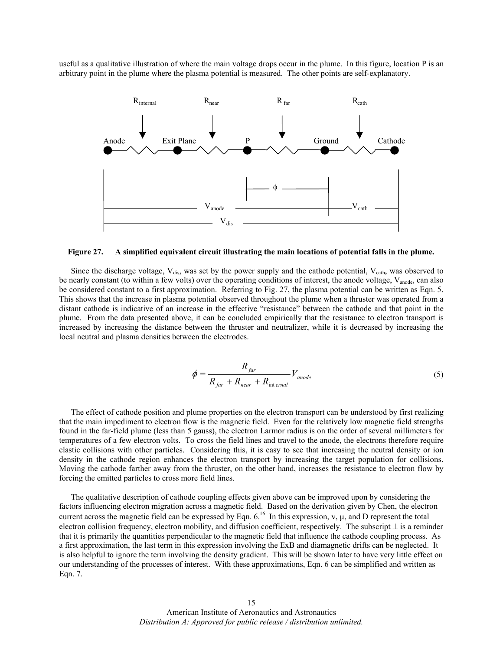useful as a qualitative illustration of where the main voltage drops occur in the plume. In this figure, location P is an arbitrary point in the plume where the plasma potential is measured. The other points are self-explanatory.



## **Figure 27. A simplified equivalent circuit illustrating the main locations of potential falls in the plume.**

Since the discharge voltage,  $V_{dis}$ , was set by the power supply and the cathode potential,  $V_{cath}$ , was observed to be nearly constant (to within a few volts) over the operating conditions of interest, the anode voltage, V<sub>anode</sub>, can also be considered constant to a first approximation. Referring to Fig. 27, the plasma potential can be written as Eqn. 5. This shows that the increase in plasma potential observed throughout the plume when a thruster was operated from a distant cathode is indicative of an increase in the effective "resistance" between the cathode and that point in the plume. From the data presented above, it can be concluded empirically that the resistance to electron transport is increased by increasing the distance between the thruster and neutralizer, while it is decreased by increasing the local neutral and plasma densities between the electrodes.

$$
\phi = \frac{R_{far}}{R_{far} + R_{near} + R_{\text{int }ernal}} V_{anode}
$$
\n(5)

The effect of cathode position and plume properties on the electron transport can be understood by first realizing that the main impediment to electron flow is the magnetic field. Even for the relatively low magnetic field strengths found in the far-field plume (less than 5 gauss), the electron Larmor radius is on the order of several millimeters for temperatures of a few electron volts. To cross the field lines and travel to the anode, the electrons therefore require elastic collisions with other particles. Considering this, it is easy to see that increasing the neutral density or ion density in the cathode region enhances the electron transport by increasing the target population for collisions. Moving the cathode farther away from the thruster, on the other hand, increases the resistance to electron flow by forcing the emitted particles to cross more field lines.

The qualitative description of cathode coupling effects given above can be improved upon by considering the factors influencing electron migration across a magnetic field. Based on the derivation given by Chen, the electron current across the magnetic field can be expressed by Eqn.  $6^{16}$  In this expression, v,  $\mu$ , and D represent the total electron collision frequency, electron mobility, and diffusion coefficient, respectively. The subscript ⊥ is a reminder that it is primarily the quantities perpendicular to the magnetic field that influence the cathode coupling process. As a first approximation, the last term in this expression involving the ExB and diamagnetic drifts can be neglected. It is also helpful to ignore the term involving the density gradient. This will be shown later to have very little effect on our understanding of the processes of interest. With these approximations, Eqn. 6 can be simplified and written as Eqn. 7.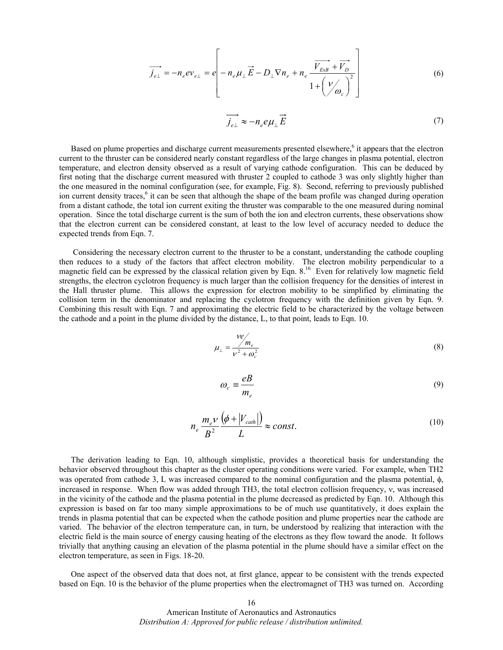$$
\overrightarrow{j_{e\perp}} = -n_e e v_{e\perp} = e \left[ -n_e \mu_\perp \overrightarrow{E} - D_\perp \nabla n_e + n_e \frac{\overrightarrow{V_{ExB}} + \overrightarrow{V_D}}{1 + \left(\frac{V}{\omega_c}\right)^2} \right]
$$
(6)

$$
\overrightarrow{j_{e\perp}} \approx -n_e e \mu_\perp \overrightarrow{E} \tag{7}
$$

Based on plume properties and discharge current measurements presented elsewhere,<sup>6</sup> it appears that the electron current to the thruster can be considered nearly constant regardless of the large changes in plasma potential, electron temperature, and electron density observed as a result of varying cathode configuration. This can be deduced by first noting that the discharge current measured with thruster 2 coupled to cathode 3 was only slightly higher than the one measured in the nominal configuration (see, for example, Fig. 8). Second, referring to previously published ion current density traces,<sup>6</sup> it can be seen that although the shape of the beam profile was changed during operation from a distant cathode, the total ion current exiting the thruster was comparable to the one measured during nominal operation. Since the total discharge current is the sum of both the ion and electron currents, these observations show that the electron current can be considered constant, at least to the low level of accuracy needed to deduce the expected trends from Eqn. 7.

Considering the necessary electron current to the thruster to be a constant, understanding the cathode coupling then reduces to a study of the factors that affect electron mobility. The electron mobility perpendicular to a magnetic field can be expressed by the classical relation given by Eqn. 8.<sup>16</sup> Even for relatively low magnetic field strengths, the electron cyclotron frequency is much larger than the collision frequency for the densities of interest in the Hall thruster plume. This allows the expression for electron mobility to be simplified by eliminating the collision term in the denominator and replacing the cyclotron frequency with the definition given by Eqn. 9. Combining this result with Eqn. 7 and approximating the electric field to be characterized by the voltage between the cathode and a point in the plume divided by the distance, L, to that point, leads to Eqn. 10.

$$
\mu_{\perp} = \frac{ve}{v^2 + \omega_c^2} \tag{8}
$$

$$
\omega_c \equiv \frac{eB}{m_e} \tag{9}
$$

$$
n_e \frac{m_e V}{B^2} \frac{\left(\phi + \left|V_{\text{cath}}\right|\right)}{L} \approx \text{const.}
$$
\n<sup>(10)</sup>

The derivation leading to Eqn. 10, although simplistic, provides a theoretical basis for understanding the behavior observed throughout this chapter as the cluster operating conditions were varied. For example, when TH2 was operated from cathode 3, L was increased compared to the nominal configuration and the plasma potential, φ, increased in response. When flow was added through TH3, the total electron collision frequency, ν, was increased in the vicinity of the cathode and the plasma potential in the plume decreased as predicted by Eqn. 10. Although this expression is based on far too many simple approximations to be of much use quantitatively, it does explain the trends in plasma potential that can be expected when the cathode position and plume properties near the cathode are varied. The behavior of the electron temperature can, in turn, be understood by realizing that interaction with the electric field is the main source of energy causing heating of the electrons as they flow toward the anode. It follows trivially that anything causing an elevation of the plasma potential in the plume should have a similar effect on the electron temperature, as seen in Figs. 18-20.

One aspect of the observed data that does not, at first glance, appear to be consistent with the trends expected based on Eqn. 10 is the behavior of the plume properties when the electromagnet of TH3 was turned on. According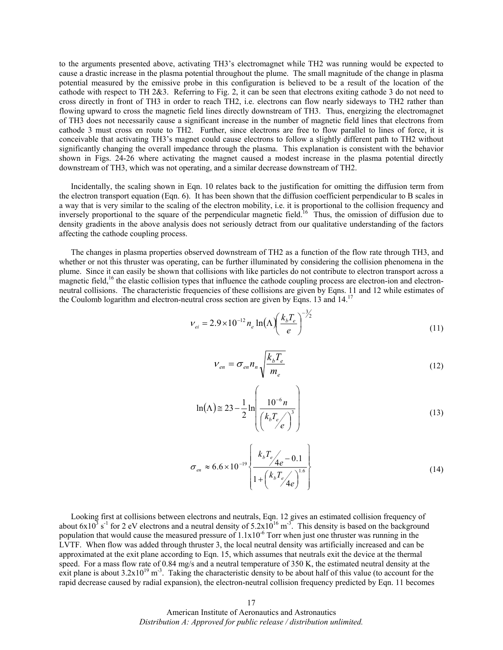to the arguments presented above, activating TH3's electromagnet while TH2 was running would be expected to cause a drastic increase in the plasma potential throughout the plume. The small magnitude of the change in plasma potential measured by the emissive probe in this configuration is believed to be a result of the location of the cathode with respect to TH 2&3. Referring to Fig. 2, it can be seen that electrons exiting cathode 3 do not need to cross directly in front of TH3 in order to reach TH2, i.e. electrons can flow nearly sideways to TH2 rather than flowing upward to cross the magnetic field lines directly downstream of TH3. Thus, energizing the electromagnet of TH3 does not necessarily cause a significant increase in the number of magnetic field lines that electrons from cathode 3 must cross en route to TH2. Further, since electrons are free to flow parallel to lines of force, it is conceivable that activating TH3's magnet could cause electrons to follow a slightly different path to TH2 without significantly changing the overall impedance through the plasma. This explanation is consistent with the behavior shown in Figs. 24-26 where activating the magnet caused a modest increase in the plasma potential directly downstream of TH3, which was not operating, and a similar decrease downstream of TH2.

Incidentally, the scaling shown in Eqn. 10 relates back to the justification for omitting the diffusion term from the electron transport equation (Eqn. 6). It has been shown that the diffusion coefficient perpendicular to B scales in a way that is very similar to the scaling of the electron mobility, i.e. it is proportional to the collision frequency and inversely proportional to the square of the perpendicular magnetic field.<sup>16</sup> Thus, the omission of diffusion due to density gradients in the above analysis does not seriously detract from our qualitative understanding of the factors affecting the cathode coupling process.

The changes in plasma properties observed downstream of TH2 as a function of the flow rate through TH3, and whether or not this thruster was operating, can be further illuminated by considering the collision phenomena in the plume. Since it can easily be shown that collisions with like particles do not contribute to electron transport across a magnetic field,<sup>16</sup> the elastic collision types that influence the cathode coupling process are electron-ion and electronneutral collisions. The characteristic frequencies of these collisions are given by Eqns. 11 and 12 while estimates of the Coulomb logarithm and electron-neutral cross section are given by Eqns. 13 and 14.<sup>17</sup>

$$
v_{ei} = 2.9 \times 10^{-12} n_e \ln(\Lambda) \left(\frac{k_b T_e}{e}\right)^{-3/2}
$$
 (11)

$$
V_{en} = \sigma_{en} n_n \sqrt{\frac{k_b T_e}{m_e}}
$$
 (12)

$$
\ln(\Lambda) \approx 23 - \frac{1}{2} \ln \left( \frac{10^{-6} n}{\left( k_b T_e / e \right)^3} \right)
$$
 (13)

$$
\sigma_{en} \approx 6.6 \times 10^{-19} \left\{ \frac{k_b T_e}{1 + \left(k_b T_e / 4e\right)^{1.6}} \right\}
$$
(14)

Looking first at collisions between electrons and neutrals, Eqn. 12 gives an estimated collision frequency of about  $6x10^3$  s<sup>-1</sup> for 2 eV electrons and a neutral density of  $5.2x10^{16}$  m<sup>-3</sup>. This density is based on the background population that would cause the measured pressure of  $1.1x10^{-6}$  Torr when just one thruster was running in the LVTF. When flow was added through thruster 3, the local neutral density was artificially increased and can be approximated at the exit plane according to Eqn. 15, which assumes that neutrals exit the device at the thermal speed. For a mass flow rate of 0.84 mg/s and a neutral temperature of 350 K, the estimated neutral density at the exit plane is about  $3.2 \times 10^{19}$  m<sup>-3</sup>. Taking the characteristic density to be about half of this value (to account for the rapid decrease caused by radial expansion), the electron-neutral collision frequency predicted by Eqn. 11 becomes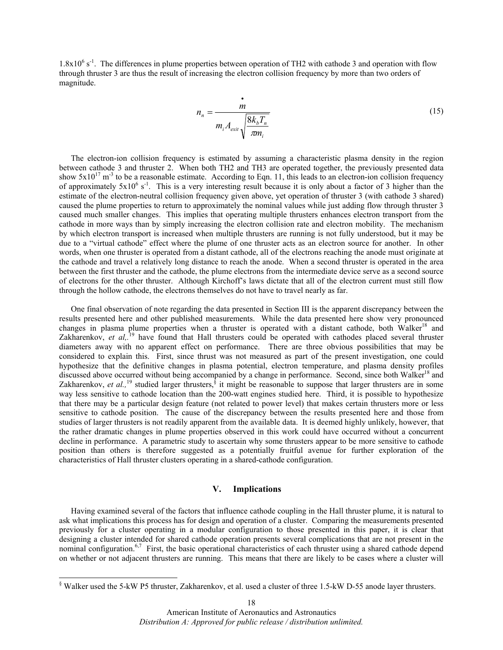$1.8x10<sup>6</sup>$  s<sup>-1</sup>. The differences in plume properties between operation of TH2 with cathode 3 and operation with flow through thruster 3 are thus the result of increasing the electron collision frequency by more than two orders of magnitude.

$$
n_n = \frac{\dot{m}}{m_i A_{exit} \sqrt{\frac{8k_b T_n}{\pi m_i}}}
$$
(15)

The electron-ion collision frequency is estimated by assuming a characteristic plasma density in the region between cathode 3 and thruster 2. When both TH2 and TH3 are operated together, the previously presented data show  $5x10^{17}$  m<sup>-3</sup> to be a reasonable estimate. According to Eqn. 11, this leads to an electron-ion collision frequency of approximately  $5x10^6$  s<sup>-1</sup>. This is a very interesting result because it is only about a factor of 3 higher than the estimate of the electron-neutral collision frequency given above, yet operation of thruster 3 (with cathode 3 shared) caused the plume properties to return to approximately the nominal values while just adding flow through thruster 3 caused much smaller changes. This implies that operating multiple thrusters enhances electron transport from the cathode in more ways than by simply increasing the electron collision rate and electron mobility. The mechanism by which electron transport is increased when multiple thrusters are running is not fully understood, but it may be due to a "virtual cathode" effect where the plume of one thruster acts as an electron source for another. In other words, when one thruster is operated from a distant cathode, all of the electrons reaching the anode must originate at the cathode and travel a relatively long distance to reach the anode. When a second thruster is operated in the area between the first thruster and the cathode, the plume electrons from the intermediate device serve as a second source of electrons for the other thruster. Although Kirchoff's laws dictate that all of the electron current must still flow through the hollow cathode, the electrons themselves do not have to travel nearly as far.

One final observation of note regarding the data presented in Section III is the apparent discrepancy between the results presented here and other published measurements. While the data presented here show very pronounced changes in plasma plume properties when a thruster is operated with a distant cathode, both Walker<sup>18</sup> and Zakharenkov, *et al*, <sup>19</sup> have found that Hall thrusters could be operated with cathodes placed several thruster diameters away with no apparent effect on performance. There are three obvious possibilities that may be considered to explain this. First, since thrust was not measured as part of the present investigation, one could hypothesize that the definitive changes in plasma potential, electron temperature, and plasma density profiles discussed above occurred without being accompanied by a change in performance. Second, since both Walker<sup>18</sup> and Zakharenkov, *et al.*,<sup>19</sup> studied larger thrusters, it might be reasonable to suppose that larger thrusters are in some way less sensitive to cathode location than the 200-watt engines studied here. Third, it is possible to hypothesize that there may be a particular design feature (not related to power level) that makes certain thrusters more or less sensitive to cathode position. The cause of the discrepancy between the results presented here and those from studies of larger thrusters is not readily apparent from the available data. It is deemed highly unlikely, however, that the rather dramatic changes in plume properties observed in this work could have occurred without a concurrent decline in performance. A parametric study to ascertain why some thrusters appear to be more sensitive to cathode position than others is therefore suggested as a potentially fruitful avenue for further exploration of the characteristics of Hall thruster clusters operating in a shared-cathode configuration.

# **V. Implications**

Having examined several of the factors that influence cathode coupling in the Hall thruster plume, it is natural to ask what implications this process has for design and operation of a cluster. Comparing the measurements presented previously for a cluster operating in a modular configuration to those presented in this paper, it is clear that designing a cluster intended for shared cathode operation presents several complications that are not present in the nominal configuration.<sup>6,7</sup> First, the basic operational characteristics of each thruster using a shared cathode depend on whether or not adjacent thrusters are running. This means that there are likely to be cases where a cluster will

<span id="page-17-0"></span> <sup>§</sup> Walker used the 5-kW P5 thruster, Zakharenkov, et al. used a cluster of three 1.5-kW D-55 anode layer thrusters.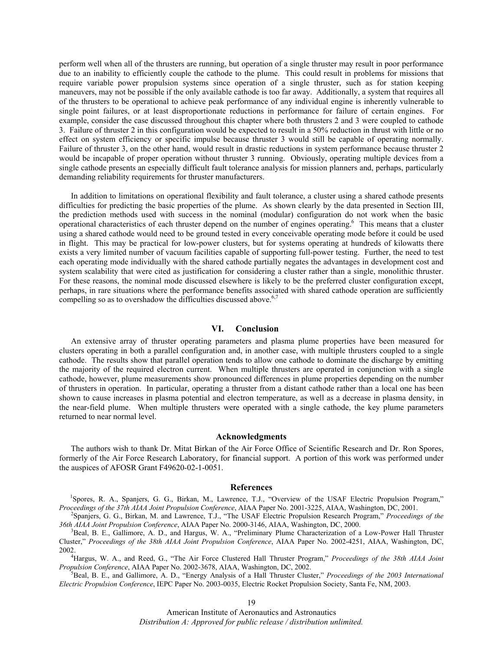perform well when all of the thrusters are running, but operation of a single thruster may result in poor performance due to an inability to efficiently couple the cathode to the plume. This could result in problems for missions that require variable power propulsion systems since operation of a single thruster, such as for station keeping maneuvers, may not be possible if the only available cathode is too far away. Additionally, a system that requires all of the thrusters to be operational to achieve peak performance of any individual engine is inherently vulnerable to single point failures, or at least disproportionate reductions in performance for failure of certain engines. For example, consider the case discussed throughout this chapter where both thrusters 2 and 3 were coupled to cathode 3. Failure of thruster 2 in this configuration would be expected to result in a 50% reduction in thrust with little or no effect on system efficiency or specific impulse because thruster 3 would still be capable of operating normally. Failure of thruster 3, on the other hand, would result in drastic reductions in system performance because thruster 2 would be incapable of proper operation without thruster 3 running. Obviously, operating multiple devices from a single cathode presents an especially difficult fault tolerance analysis for mission planners and, perhaps, particularly demanding reliability requirements for thruster manufacturers.

In addition to limitations on operational flexibility and fault tolerance, a cluster using a shared cathode presents difficulties for predicting the basic properties of the plume. As shown clearly by the data presented in Section III, the prediction methods used with success in the nominal (modular) configuration do not work when the basic operational characteristics of each thruster depend on the number of engines operating.<sup>6</sup> This means that a cluster using a shared cathode would need to be ground tested in every conceivable operating mode before it could be used in flight. This may be practical for low-power clusters, but for systems operating at hundreds of kilowatts there exists a very limited number of vacuum facilities capable of supporting full-power testing. Further, the need to test each operating mode individually with the shared cathode partially negates the advantages in development cost and system scalability that were cited as justification for considering a cluster rather than a single, monolithic thruster. For these reasons, the nominal mode discussed elsewhere is likely to be the preferred cluster configuration except, perhaps, in rare situations where the performance benefits associated with shared cathode operation are sufficiently compelling so as to overshadow the difficulties discussed above.<sup>6,7</sup>

# **VI. Conclusion**

An extensive array of thruster operating parameters and plasma plume properties have been measured for clusters operating in both a parallel configuration and, in another case, with multiple thrusters coupled to a single cathode. The results show that parallel operation tends to allow one cathode to dominate the discharge by emitting the majority of the required electron current. When multiple thrusters are operated in conjunction with a single cathode, however, plume measurements show pronounced differences in plume properties depending on the number of thrusters in operation. In particular, operating a thruster from a distant cathode rather than a local one has been shown to cause increases in plasma potential and electron temperature, as well as a decrease in plasma density, in the near-field plume. When multiple thrusters were operated with a single cathode, the key plume parameters returned to near normal level.

#### **Acknowledgments**

The authors wish to thank Dr. Mitat Birkan of the Air Force Office of Scientific Research and Dr. Ron Spores, formerly of the Air Force Research Laboratory, for financial support. A portion of this work was performed under the auspices of AFOSR Grant F49620-02-1-0051.

## **References**

1 Spores, R. A., Spanjers, G. G., Birkan, M., Lawrence, T.J., "Overview of the USAF Electric Propulsion Program," *Proceedings of the 37th AIAA Joint Propulsion Conference*, AIAA Paper No. 2001-3225, AIAA, Washington, DC, 2001. 2

Spanjers, G. G., Birkan, M. and Lawrence, T.J., "The USAF Electric Propulsion Research Program," *Proceedings of the 36th AIAA Joint Propulsion Conference*, AIAA Paper No. 2000-3146, AIAA, Washington, DC, 2000. 3

Beal, B. E., Gallimore, A. D., and Hargus, W. A., "Preliminary Plume Characterization of a Low-Power Hall Thruster Cluster," *Proceedings of the 38th AIAA Joint Propulsion Conference*, AIAA Paper No. 2002-4251, AIAA, Washington, DC, 2002. 4

Hargus, W. A., and Reed, G., "The Air Force Clustered Hall Thruster Program," *Proceedings of the 38th AIAA Joint Propulsion Conference*, AIAA Paper No. 2002-3678, AIAA, Washington, DC, 2002.

Beal, B. E., and Gallimore, A. D., "Energy Analysis of a Hall Thruster Cluster," *Proceedings of the 2003 International Electric Propulsion Conference*, IEPC Paper No. 2003-0035, Electric Rocket Propulsion Society, Santa Fe, NM, 2003.